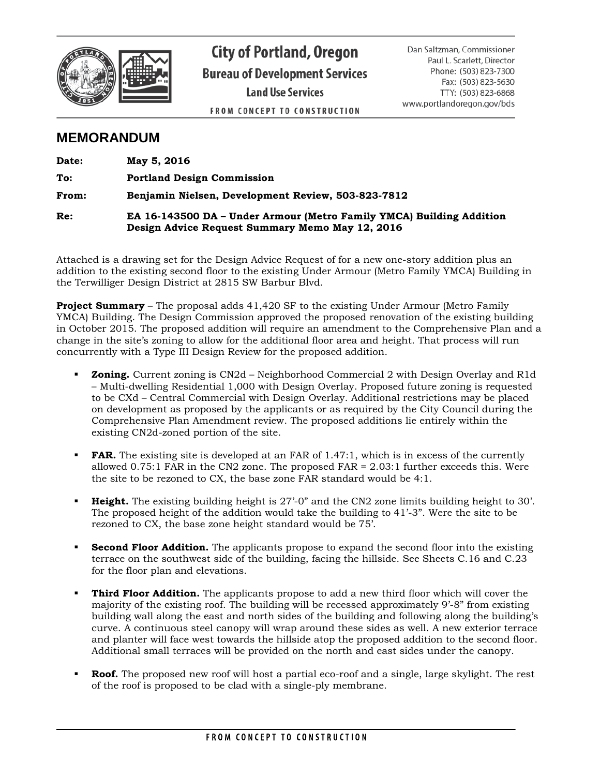

**City of Portland, Oregon Bureau of Development Services Land Use Services FROM CONCEPT TO CONSTRUCTION** 

Dan Saltzman, Commissioner Paul L. Scarlett, Director Phone: (503) 823-7300 Fax: (503) 823-5630 TTY: (503) 823-6868 www.portlandoregon.gov/bds

# **MEMORANDUM**

| Date: | May 5, 2016                                                                                                             |
|-------|-------------------------------------------------------------------------------------------------------------------------|
| To:   | <b>Portland Design Commission</b>                                                                                       |
| From: | Benjamin Nielsen, Development Review, 503-823-7812                                                                      |
| Re:   | EA 16-143500 DA – Under Armour (Metro Family YMCA) Building Addition<br>Design Advice Request Summary Memo May 12, 2016 |

Attached is a drawing set for the Design Advice Request of for a new one-story addition plus an addition to the existing second floor to the existing Under Armour (Metro Family YMCA) Building in the Terwilliger Design District at 2815 SW Barbur Blvd.

**Project Summary** – The proposal adds 41,420 SF to the existing Under Armour (Metro Family YMCA) Building. The Design Commission approved the proposed renovation of the existing building in October 2015. The proposed addition will require an amendment to the Comprehensive Plan and a change in the site's zoning to allow for the additional floor area and height. That process will run concurrently with a Type III Design Review for the proposed addition.

- **Zoning.** Current zoning is CN2d Neighborhood Commercial 2 with Design Overlay and R1d – Multi-dwelling Residential 1,000 with Design Overlay. Proposed future zoning is requested to be CXd – Central Commercial with Design Overlay. Additional restrictions may be placed on development as proposed by the applicants or as required by the City Council during the Comprehensive Plan Amendment review. The proposed additions lie entirely within the existing CN2d-zoned portion of the site.
- **FAR.** The existing site is developed at an FAR of 1.47:1, which is in excess of the currently allowed  $0.75:1$  FAR in the CN2 zone. The proposed FAR =  $2.03:1$  further exceeds this. Were the site to be rezoned to CX, the base zone FAR standard would be 4:1.
- **Height.** The existing building height is 27'-0" and the CN2 zone limits building height to 30'. The proposed height of the addition would take the building to 41'-3". Were the site to be rezoned to CX, the base zone height standard would be 75'.
- **Second Floor Addition.** The applicants propose to expand the second floor into the existing terrace on the southwest side of the building, facing the hillside. See Sheets C.16 and C.23 for the floor plan and elevations.
- **Third Floor Addition.** The applicants propose to add a new third floor which will cover the majority of the existing roof. The building will be recessed approximately 9'-8" from existing building wall along the east and north sides of the building and following along the building's curve. A continuous steel canopy will wrap around these sides as well. A new exterior terrace and planter will face west towards the hillside atop the proposed addition to the second floor. Additional small terraces will be provided on the north and east sides under the canopy.
- **Roof.** The proposed new roof will host a partial eco-roof and a single, large skylight. The rest of the roof is proposed to be clad with a single-ply membrane.